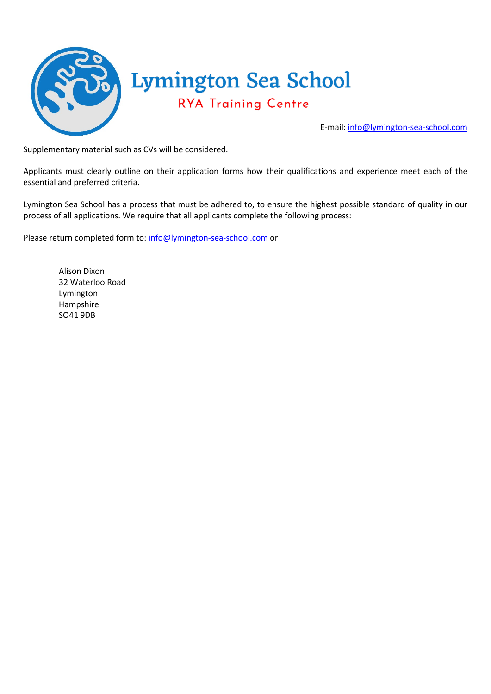

Supplementary material such as CVs will be considered.

Applicants must clearly outline on their application forms how their qualifications and experience meet each of the essential and preferred criteria.

Lymington Sea School has a process that must be adhered to, to ensure the highest possible standard of quality in our process of all applications. We require that all applicants complete the following process:

Please return completed form to: [info@lymington-sea-school.com](mailto:info@lymington-sea-school.com) or

Alison Dixon 32 Waterloo Road Lymington Hampshire SO41 9DB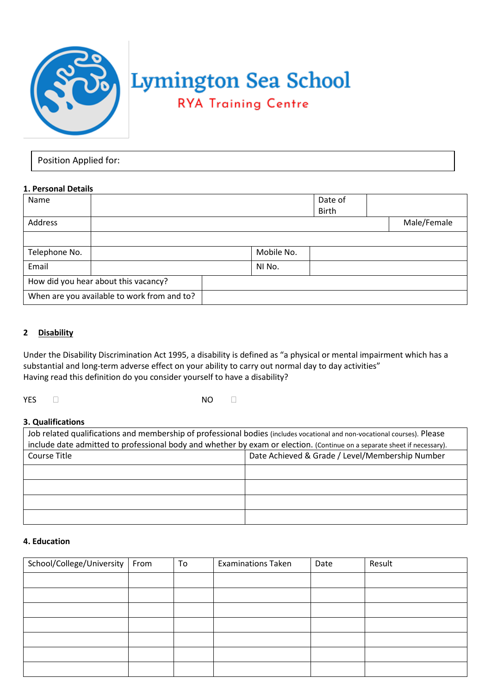

# **Lymington Sea School**

# **RYA Training Centre**

| Position Applied for: |  |
|-----------------------|--|
|-----------------------|--|

# **1. Personal Details**

| Name                                        |        |  |            | Date of      |             |
|---------------------------------------------|--------|--|------------|--------------|-------------|
|                                             |        |  |            | <b>Birth</b> |             |
| Address                                     |        |  |            |              | Male/Female |
|                                             |        |  |            |              |             |
| Telephone No.                               |        |  | Mobile No. |              |             |
| Email                                       | NI No. |  |            |              |             |
| How did you hear about this vacancy?        |        |  |            |              |             |
| When are you available to work from and to? |        |  |            |              |             |

# **2 Disability**

Under the Disability Discrimination Act 1995, a disability is defined as "a physical or mental impairment which has a substantial and long-term adverse effect on your ability to carry out normal day to day activities" Having read this definition do you consider yourself to have a disability?

YES □ NO □

#### **3. Qualifications**

| Job related qualifications and membership of professional bodies (includes vocational and non-vocational courses). Please<br>include date admitted to professional body and whether by exam or election. (Continue on a separate sheet if necessary). |  |  |  |  |  |
|-------------------------------------------------------------------------------------------------------------------------------------------------------------------------------------------------------------------------------------------------------|--|--|--|--|--|
| Date Achieved & Grade / Level/Membership Number<br>Course Title                                                                                                                                                                                       |  |  |  |  |  |
|                                                                                                                                                                                                                                                       |  |  |  |  |  |
|                                                                                                                                                                                                                                                       |  |  |  |  |  |
|                                                                                                                                                                                                                                                       |  |  |  |  |  |
|                                                                                                                                                                                                                                                       |  |  |  |  |  |

#### **4. Education**

| School/College/University   From | To | <b>Examinations Taken</b> | Date | Result |
|----------------------------------|----|---------------------------|------|--------|
|                                  |    |                           |      |        |
|                                  |    |                           |      |        |
|                                  |    |                           |      |        |
|                                  |    |                           |      |        |
|                                  |    |                           |      |        |
|                                  |    |                           |      |        |
|                                  |    |                           |      |        |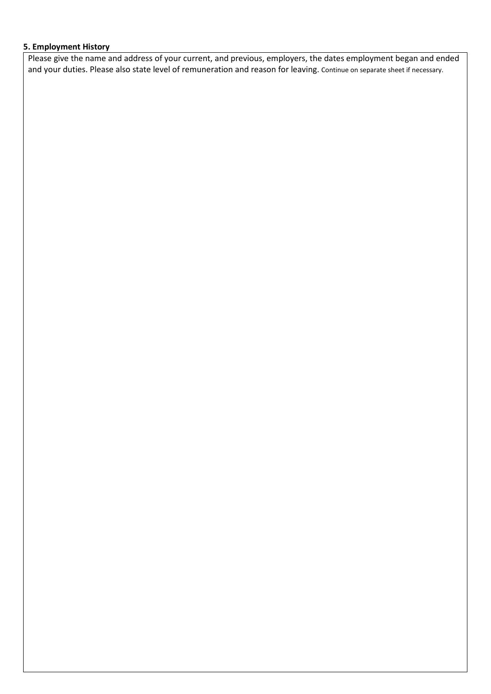# **5. Employment History**

Please give the name and address of your current, and previous, employers, the dates employment began and ended and your duties. Please also state level of remuneration and reason for leaving. Continue on separate sheet if necessary.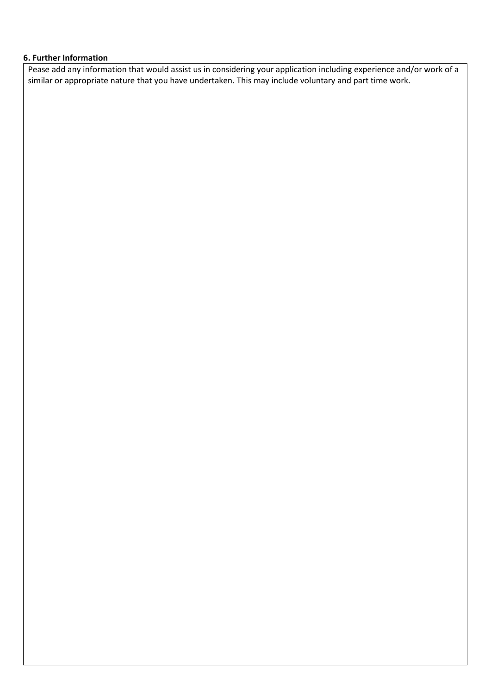#### **6. Further Information**

Pease add any information that would assist us in considering your application including experience and/or work of a similar or appropriate nature that you have undertaken. This may include voluntary and part time work.